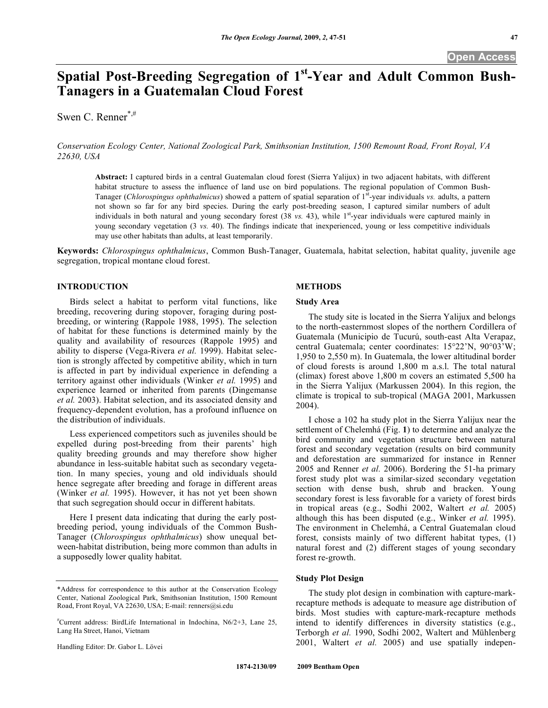# **Spatial Post-Breeding Segregation of 1st-Year and Adult Common Bush-Tanagers in a Guatemalan Cloud Forest**

Swen C. Renner\*,#

*Conservation Ecology Center, National Zoological Park, Smithsonian Institution, 1500 Remount Road, Front Royal, VA 22630, USA* 

**Abstract:** I captured birds in a central Guatemalan cloud forest (Sierra Yalijux) in two adjacent habitats, with different habitat structure to assess the influence of land use on bird populations. The regional population of Common Bush-Tanager (*Chlorospingus ophthalmicus*) showed a pattern of spatial separation of 1st-year individuals *vs.* adults, a pattern not shown so far for any bird species. During the early post-breeding season, I captured similar numbers of adult individuals in both natural and young secondary forest (38 *vs.* 43), while 1<sup>st</sup>-year individuals were captured mainly in young secondary vegetation (3 *vs.* 40). The findings indicate that inexperienced, young or less competitive individuals may use other habitats than adults, at least temporarily.

**Keywords:** *Chlorospingus ophthalmicus*, Common Bush-Tanager, Guatemala, habitat selection, habitat quality, juvenile age segregation, tropical montane cloud forest.

# **INTRODUCTION**

 Birds select a habitat to perform vital functions, like breeding, recovering during stopover, foraging during postbreeding, or wintering (Rappole 1988, 1995). The selection of habitat for these functions is determined mainly by the quality and availability of resources (Rappole 1995) and ability to disperse (Vega-Rivera *et al.* 1999). Habitat selection is strongly affected by competitive ability, which in turn is affected in part by individual experience in defending a territory against other individuals (Winker *et al.* 1995) and experience learned or inherited from parents (Dingemanse *et al.* 2003). Habitat selection, and its associated density and frequency-dependent evolution, has a profound influence on the distribution of individuals.

 Less experienced competitors such as juveniles should be expelled during post-breeding from their parents' high quality breeding grounds and may therefore show higher abundance in less-suitable habitat such as secondary vegetation. In many species, young and old individuals should hence segregate after breeding and forage in different areas (Winker *et al.* 1995). However, it has not yet been shown that such segregation should occur in different habitats.

 Here I present data indicating that during the early postbreeding period, young individuals of the Common Bush-Tanager (*Chlorospingus ophthalmicus*) show unequal between-habitat distribution, being more common than adults in a supposedly lower quality habitat.

Handling Editor: Dr. Gabor L. Lövei

#### **METHODS**

#### **Study Area**

 The study site is located in the Sierra Yalijux and belongs to the north-easternmost slopes of the northern Cordillera of Guatemala (Municipio de Tucurú, south-east Alta Verapaz, central Guatemala; center coordinates: 15°22'N, 90°03'W; 1,950 to 2,550 m). In Guatemala, the lower altitudinal border of cloud forests is around 1,800 m a.s.l. The total natural (climax) forest above 1,800 m covers an estimated 5,500 ha in the Sierra Yalijux (Markussen 2004). In this region, the climate is tropical to sub-tropical (MAGA 2001, Markussen 2004).

 I chose a 102 ha study plot in the Sierra Yalijux near the settlement of Chelemhá (Fig. **1**) to determine and analyze the bird community and vegetation structure between natural forest and secondary vegetation (results on bird community and deforestation are summarized for instance in Renner 2005 and Renner *et al.* 2006). Bordering the 51-ha primary forest study plot was a similar-sized secondary vegetation section with dense bush, shrub and bracken. Young secondary forest is less favorable for a variety of forest birds in tropical areas (e.g., Sodhi 2002, Waltert *et al.* 2005) although this has been disputed (e.g., Winker *et al.* 1995). The environment in Chelemhá, a Central Guatemalan cloud forest, consists mainly of two different habitat types, (1) natural forest and (2) different stages of young secondary forest re-growth.

#### **Study Plot Design**

 The study plot design in combination with capture-markrecapture methods is adequate to measure age distribution of birds. Most studies with capture-mark-recapture methods intend to identify differences in diversity statistics (e.g., Terborgh *et al.* 1990, Sodhi 2002, Waltert and Mühlenberg 2001, Waltert *et al.* 2005) and use spatially indepen-

<sup>\*</sup>Address for correspondence to this author at the Conservation Ecology Center, National Zoological Park, Smithsonian Institution, 1500 Remount Road, Front Royal, VA 22630, USA; E-mail: renners@si.edu

<sup>#</sup> Current address: BirdLife International in Indochina, N6/2+3, Lane 25, Lang Ha Street, Hanoi, Vietnam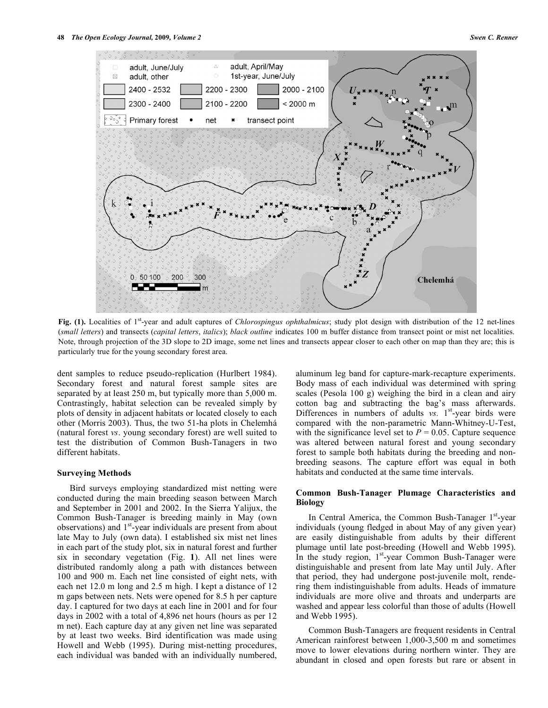

**Fig. (1).** Localities of 1st-year and adult captures of *Chlorospingus ophthalmicus*; study plot design with distribution of the 12 net-lines (*small letters*) and transects (*capital letters*, *italics*); *black outline* indicates 100 m buffer distance from transect point or mist net localities. Note, through projection of the 3D slope to 2D image, some net lines and transects appear closer to each other on map than they are; this is particularly true for the young secondary forest area.

dent samples to reduce pseudo-replication (Hurlbert 1984). Secondary forest and natural forest sample sites are separated by at least 250 m, but typically more than 5,000 m. Contrastingly, habitat selection can be revealed simply by plots of density in adjacent habitats or located closely to each other (Morris 2003). Thus, the two 51-ha plots in Chelemhá (natural forest *vs*. young secondary forest) are well suited to test the distribution of Common Bush-Tanagers in two different habitats.

#### **Surveying Methods**

 Bird surveys employing standardized mist netting were conducted during the main breeding season between March and September in 2001 and 2002. In the Sierra Yalijux, the Common Bush-Tanager is breeding mainly in May (own observations) and  $1<sup>st</sup>$ -year individuals are present from about late May to July (own data). I established six mist net lines in each part of the study plot, six in natural forest and further six in secondary vegetation (Fig. **1**). All net lines were distributed randomly along a path with distances between 100 and 900 m. Each net line consisted of eight nets, with each net 12.0 m long and 2.5 m high. I kept a distance of 12 m gaps between nets. Nets were opened for 8.5 h per capture day. I captured for two days at each line in 2001 and for four days in 2002 with a total of 4,896 net hours (hours as per 12 m net). Each capture day at any given net line was separated by at least two weeks. Bird identification was made using Howell and Webb (1995). During mist-netting procedures, each individual was banded with an individually numbered,

aluminum leg band for capture-mark-recapture experiments. Body mass of each individual was determined with spring scales (Pesola 100 g) weighing the bird in a clean and airy cotton bag and subtracting the bag's mass afterwards. Differences in numbers of adults  $vs. 1<sup>st</sup>$ -year birds were compared with the non-parametric Mann-Whitney-U-Test, with the significance level set to  $P = 0.05$ . Capture sequence was altered between natural forest and young secondary forest to sample both habitats during the breeding and nonbreeding seasons. The capture effort was equal in both habitats and conducted at the same time intervals.

# **Common Bush-Tanager Plumage Characteristics and Biology**

In Central America, the Common Bush-Tanager  $1<sup>st</sup>$ -year individuals (young fledged in about May of any given year) are easily distinguishable from adults by their different plumage until late post-breeding (Howell and Webb 1995). In the study region,  $1<sup>st</sup>$ -year Common Bush-Tanager were distinguishable and present from late May until July. After that period, they had undergone post-juvenile molt, rendering them indistinguishable from adults. Heads of immature individuals are more olive and throats and underparts are washed and appear less colorful than those of adults (Howell and Webb 1995).

 Common Bush-Tanagers are frequent residents in Central American rainforest between 1,000-3,500 m and sometimes move to lower elevations during northern winter. They are abundant in closed and open forests but rare or absent in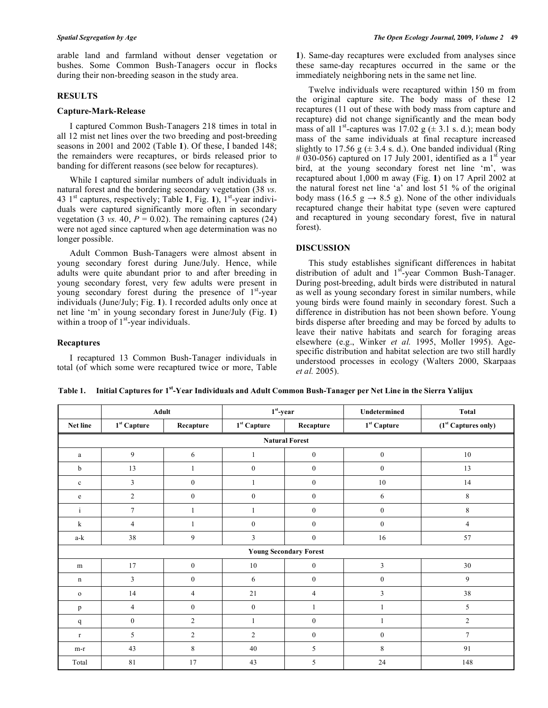arable land and farmland without denser vegetation or bushes. Some Common Bush-Tanagers occur in flocks during their non-breeding season in the study area.

## **RESULTS**

## **Capture-Mark-Release**

 I captured Common Bush-Tanagers 218 times in total in all 12 mist net lines over the two breeding and post-breeding seasons in 2001 and 2002 (Table **1**). Of these, I banded 148; the remainders were recaptures, or birds released prior to banding for different reasons (see below for recaptures).

 While I captured similar numbers of adult individuals in natural forest and the bordering secondary vegetation (38 *vs.* 43 1st captures, respectively; Table **1**, Fig. **1**), 1st-year individuals were captured significantly more often in secondary vegetation (3 *vs.* 40,  $P = 0.02$ ). The remaining captures (24) were not aged since captured when age determination was no longer possible.

 Adult Common Bush-Tanagers were almost absent in young secondary forest during June/July. Hence, while adults were quite abundant prior to and after breeding in young secondary forest, very few adults were present in young secondary forest during the presence of  $1<sup>st</sup>$ -year individuals (June/July; Fig. **1**). I recorded adults only once at net line 'm' in young secondary forest in June/July (Fig. **1**) within a troop of  $1<sup>st</sup>$ -year individuals.

# **Recaptures**

 I recaptured 13 Common Bush-Tanager individuals in total (of which some were recaptured twice or more, Table **1**). Same-day recaptures were excluded from analyses since these same-day recaptures occurred in the same or the immediately neighboring nets in the same net line.

 Twelve individuals were recaptured within 150 m from the original capture site. The body mass of these 12 recaptures (11 out of these with body mass from capture and recapture) did not change significantly and the mean body mass of all 1<sup>st</sup>-captures was 17.02 g ( $\pm$  3.1 s. d.); mean body mass of the same individuals at final recapture increased slightly to 17.56 g  $(\pm 3.4 \text{ s. d.})$ . One banded individual (Ring # 030-056) captured on 17 July 2001, identified as a  $1<sup>st</sup>$  year bird, at the young secondary forest net line 'm', was recaptured about 1,000 m away (Fig. **1**) on 17 April 2002 at the natural forest net line 'a' and lost 51 % of the original body mass (16.5 g  $\rightarrow$  8.5 g). None of the other individuals recaptured change their habitat type (seven were captured and recaptured in young secondary forest, five in natural forest).

# **DISCUSSION**

 This study establishes significant differences in habitat distribution of adult and  $1<sup>st</sup>$ -year Common Bush-Tanager. During post-breeding, adult birds were distributed in natural as well as young secondary forest in similar numbers, while young birds were found mainly in secondary forest. Such a difference in distribution has not been shown before. Young birds disperse after breeding and may be forced by adults to leave their native habitats and search for foraging areas elsewhere (e.g., Winker *et al.* 1995, Moller 1995). Agespecific distribution and habitat selection are two still hardly understood processes in ecology (Walters 2000, Skarpaas *et al.* 2005).

**Table 1. Initial Captures for 1st-Year Individuals and Adult Common Bush-Tanager per Net Line in the Sierra Yalijux** 

|                               | Adult                |                  | $1st$ -year      |                  | Undetermined         | Total                           |
|-------------------------------|----------------------|------------------|------------------|------------------|----------------------|---------------------------------|
| Net line                      | $1^{\rm st}$ Capture | Recapture        | $1st$ Capture    | Recapture        | $1^{\rm st}$ Capture | (1 <sup>st</sup> Captures only) |
| <b>Natural Forest</b>         |                      |                  |                  |                  |                      |                                 |
| a                             | $\overline{9}$       | 6                | 1                | $\mathbf{0}$     | $\boldsymbol{0}$     | 10                              |
| b                             | 13                   | 1                | $\boldsymbol{0}$ | $\mathbf{0}$     | $\boldsymbol{0}$     | 13                              |
| $\mathbf c$                   | 3                    | $\boldsymbol{0}$ | 1                | $\mathbf{0}$     | $10\,$               | 14                              |
| e                             | $\overline{2}$       | $\boldsymbol{0}$ | $\mathbf{0}$     | $\mathbf{0}$     | 6                    | $\,8\,$                         |
| $\rm i$                       | $\tau$               |                  |                  | $\boldsymbol{0}$ | $\boldsymbol{0}$     | $\,$ 8 $\,$                     |
| k                             | $\overline{4}$       |                  | $\boldsymbol{0}$ | $\boldsymbol{0}$ | $\boldsymbol{0}$     | $\overline{4}$                  |
| a-k                           | 38                   | 9                | 3                | $\boldsymbol{0}$ | 16                   | 57                              |
| <b>Young Secondary Forest</b> |                      |                  |                  |                  |                      |                                 |
| m                             | 17                   | $\boldsymbol{0}$ | $10\,$           | $\mathbf{0}$     | 3                    | $30\,$                          |
| n                             | $\mathbf{3}$         | $\boldsymbol{0}$ | 6                | $\overline{0}$   | $\overline{0}$       | 9                               |
| $\mathbf{o}$                  | 14                   | $\overline{4}$   | 21               | $\overline{4}$   | 3                    | 38                              |
| p                             | $\overline{4}$       | $\boldsymbol{0}$ | $\mathbf{0}$     | 1                | 1                    | 5                               |
| q                             | $\overline{0}$       | $\overline{2}$   | $\mathbf{1}$     | $\mathbf{0}$     |                      | $\overline{2}$                  |
| $\mathbf{r}$                  | 5                    | $\overline{c}$   | $\overline{2}$   | $\mathbf{0}$     | $\boldsymbol{0}$     | $\overline{7}$                  |
| m-r                           | 43                   | $\,8\,$          | $40\,$           | 5                | 8                    | 91                              |
| Total                         | 81                   | 17               | 43               | 5                | 24                   | 148                             |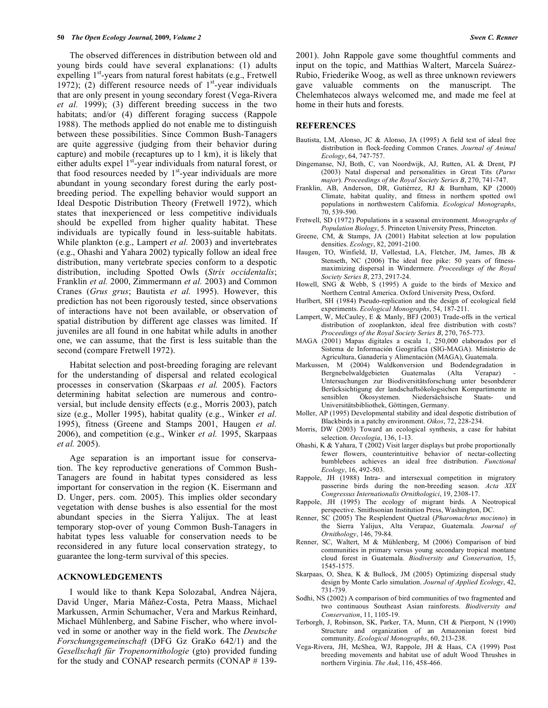The observed differences in distribution between old and young birds could have several explanations: (1) adults expelling  $1<sup>st</sup>$ -years from natural forest habitats (e.g., Fretwell 1972); (2) different resource needs of  $1<sup>st</sup>$ -year individuals that are only present in young secondary forest (Vega-Rivera *et al.* 1999); (3) different breeding success in the two habitats; and/or (4) different foraging success (Rappole 1988). The methods applied do not enable me to distinguish between these possibilities. Since Common Bush-Tanagers are quite aggressive (judging from their behavior during capture) and mobile (recaptures up to 1 km), it is likely that either adults expel  $1<sup>st</sup>$ -year individuals from natural forest, or that food resources needed by  $1<sup>st</sup>$ -year individuals are more abundant in young secondary forest during the early postbreeding period. The expelling behavior would support an Ideal Despotic Distribution Theory (Fretwell 1972), which states that inexperienced or less competitive individuals should be expelled from higher quality habitat. These individuals are typically found in less-suitable habitats. While plankton (e.g., Lampert *et al.* 2003) and invertebrates (e.g., Ohashi and Yahara 2002) typically follow an ideal free distribution, many vertebrate species conform to a despotic distribution, including Spotted Owls (*Strix occidentalis*; Franklin *et al.* 2000, Zimmermann *et al.* 2003) and Common Cranes (*Grus grus*; Bautista *et al.* 1995). However, this prediction has not been rigorously tested, since observations of interactions have not been available, or observation of spatial distribution by different age classes was limited. If juveniles are all found in one habitat while adults in another one, we can assume, that the first is less suitable than the second (compare Fretwell 1972).

 Habitat selection and post-breeding foraging are relevant for the understanding of dispersal and related ecological processes in conservation (Skarpaas *et al.* 2005). Factors determining habitat selection are numerous and controversial, but include density effects (e.g., Morris 2003), patch size (e.g., Moller 1995), habitat quality (e.g., Winker *et al.* 1995), fitness (Greene and Stamps 2001, Haugen *et al.* 2006), and competition (e.g., Winker *et al.* 1995, Skarpaas *et al.* 2005).

 Age separation is an important issue for conservation. The key reproductive generations of Common Bush-Tanagers are found in habitat types considered as less important for conservation in the region (K. Eisermann and D. Unger, pers. com. 2005). This implies older secondary vegetation with dense bushes is also essential for the most abundant species in the Sierra Yalijux. The at least temporary stop-over of young Common Bush-Tanagers in habitat types less valuable for conservation needs to be reconsidered in any future local conservation strategy, to guarantee the long-term survival of this species.

#### **ACKNOWLEDGEMENTS**

 I would like to thank Kepa Solozabal, Andrea Nájera, David Unger, Maria Máñez-Costa, Petra Maass, Michael Markussen, Armin Schumacher, Vera and Markus Reinhard, Michael Mühlenberg, and Sabine Fischer, who where involved in some or another way in the field work. The *Deutsche Forschungsgemeinschaft* (DFG Gz GraKo 642/1) and the *Gesellschaft für Tropenornithologie* (gto) provided funding for the study and CONAP research permits (CONAP # 1392001). John Rappole gave some thoughtful comments and input on the topic, and Matthias Waltert, Marcela Suárez-Rubio, Friederike Woog, as well as three unknown reviewers gave valuable comments on the manuscript. The Chelemhatecos always welcomed me, and made me feel at home in their huts and forests.

## **REFERENCES**

- Bautista, LM, Alonso, JC & Alonso, JA (1995) A field test of ideal free distribution in flock-feeding Common Cranes. *Journal of Animal Ecology*, 64, 747-757.
- Dingemanse, NJ, Both, C, van Noordwijk, AJ, Rutten, AL & Drent, PJ (2003) Natal dispersal and personalities in Great Tits (*Parus major*). *Proceedings of the Royal Society Series B*, 270, 741-747.
- Franklin, AB, Anderson, DR, Gutiérrez, RJ & Burnham, KP (2000) Climate, habitat quality, and fitness in northern spotted owl populations in northwestern California. *Ecological Monographs*, 70, 539-590.
- Fretwell, SD (1972) Populations in a seasonal environment. *Monographs of Population Biology*, 5. Princeton University Press, Princeton.
- Greene, CM, & Stamps, JA (2001) Habitat selection at low population densities. *Ecology*, 82, 2091-2100.
- Haugen, TO, Winfield, IJ, Vøllestad, LA, Fletcher, JM, James, JB & Stenseth, NC (2006) The ideal free pike: 50 years of fitnessmaximizing dispersal in Windermere. *Proceedings of the Royal Society Series B*, 273, 2917-24.
- Howell, SNG & Webb, S (1995) A guide to the birds of Mexico and Northern Central America. Oxford University Press, Oxford.
- Hurlbert, SH (1984) Pseudo-replication and the design of ecological field experiments. *Ecological Monographs*, 54, 187-211.
- Lampert, W, McCauley, E & Manly,  $\overline{B}FJ(2003)$  Trade-offs in the vertical distribution of zooplankton, ideal free distribution with costs? *Proceedings of the Royal Society Series B*, 270, 765-773.
- MAGA (2001) Mapas digitales a escala 1, 250,000 elaborados por el Sistema de Información Geográfica (SIG-MAGA). Ministerio de Agricultura, Ganadería y Alimentación (MAGA), Guatemala.
- Markussen, M (2004) Waldkonversion und Bodendegradation in Bergnebelwaldgebieten Guatemalas (Alta Untersuchungen zur Biodiversitätsforschung unter besonbderer Berücksichtigung der landschaftsökologsichen Kompartimente in<br>sensiblen Ökosystemen Niedersächsische Staats- und sensiblen Ökosystemen. Niedersächsische Staats- und Universitätsbibliothek, Göttingen, Germany.
- Moller, AP (1995) Developmental stability and ideal despotic distribution of Blackbirds in a patchy environment. *Oikos*, 72, 228-234.
- Morris, DW (2003) Toward an ecological synthesis, a case for habitat selection. *Oecologia*, 136, 1-13.
- Ohashi, K & Yahara, T (2002) Visit larger displays but probe proportionally fewer flowers, counterintuitive behavior of nectar-collecting bumblebees achieves an ideal free distribution. *Functional Ecology*, 16, 492-503.
- Rappole, JH (1988) Intra- and intersexual competition in migratory passerine birds during the non-breeding season. *Acta XIX Congressus Internationalis Ornithologici*, 19, 2308-17.
- Rappole, JH (1995) The ecology of migrant birds. A Neotropical perspective. Smithsonian Institution Press, Washington, DC.
- Renner, SC (2005) The Resplendent Quetzal (*Pharomachrus mocinno*) in the Sierra Yalijux, Alta Verapaz, Guatemala. *Journal of Ornithology*, 146, 79-84.
- Renner, SC, Waltert, M & Mühlenberg, M (2006) Comparison of bird communities in primary versus young secondary tropical montane cloud forest in Guatemala. *Biodiversity and Conservation*, 15, 1545-1575.
- Skarpaas, O, Shea, K & Bullock, JM (2005) Optimizing dispersal study design by Monte Carlo simulation. *Journal of Applied Ecology*, 42, 731-739.
- Sodhi, NS (2002) A comparison of bird communities of two fragmented and two continuous Southeast Asian rainforests. *Biodiversity and Conservation*, 11, 1105-19.
- Terborgh, J, Robinson, SK, Parker, TA, Munn, CH & Pierpont, N (1990) Structure and organization of an Amazonian forest bird community. *Ecological Monographs*, 60, 213-238.
- Vega-Rivera, JH, McShea, WJ, Rappole, JH & Haas, CA (1999) Post breeding movements and habitat use of adult Wood Thrushes in northern Virginia. *The Auk*, 116, 458-466.